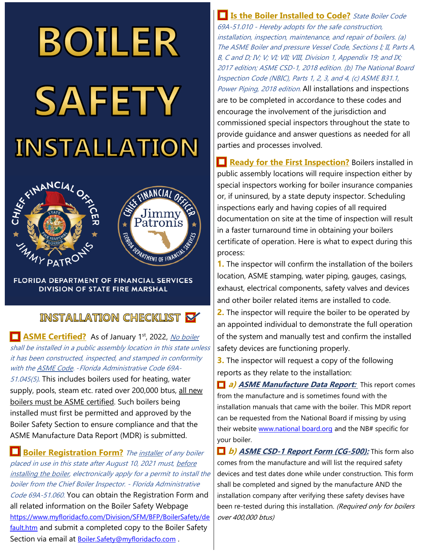# **BOILER SAFETY INSTALLATION**



**FLORIDA DEPARTMENT OF FINANCIAL SERVICES DIVISION OF STATE FIRE MARSHAL** 

## **INSTALLATION CHECKLIST X**

**ASME Certified?** As of January 1<sup>st</sup>, 2022, No boiler shall be installed in a public assembly location in this state unless it has been constructed, inspected, and stamped in conformity with the **ASME Code. - Florida Administrative Code 69A-**51.045(5)*.* This includes boilers used for heating, water supply, pools, steam etc. rated over 200,000 btus, all new boilers must be ASME certified. Such boilers being installed must first be permitted and approved by the Boiler Safety Section to ensure compliance and that the ASME Manufacture Data Report (MDR) is submitted.

**Boiler Registration Form?** The *installer of any boiler* placed in use in this state after August 10, 2021 must, before installing the boiler, electronically apply for a permit to install the boiler from the Chief Boiler Inspector. - Florida Administrative Code 69A-51.060. You can obtain the Registration Form and all related information on the Boiler Safety Webpage [https://www.myfloridacfo.com/Division/SFM/BFP/BoilerSafety/de](https://www.myfloridacfo.com/Division/SFM/BFP/BoilerSafety/default.htm) [fault.htm](https://www.myfloridacfo.com/Division/SFM/BFP/BoilerSafety/default.htm) and submit a completed copy to the Boiler Safety Section via email at Boiler. Safety@myfloridacfo.com.

**Is the Boiler Installed to Code?** State Boiler Code 69A-51.010 - Hereby adopts for the safe construction, installation, inspection, maintenance, and repair of boilers. (a) The ASME Boiler and pressure Vessel Code, Sections I; II, Parts A, B, C and D; IV; V; VI; VII; VIII, Division 1, Appendix 19; and IX; 2017 edition; ASME CSD-1, 2018 edition. (b) The National Board Inspection Code (NBIC), Parts 1, 2, 3, and 4, (c) ASME B31.1, Power Piping, 2018 edition. All installations and inspections are to be completed in accordance to these codes and encourage the involvement of the jurisdiction and commissioned special inspectors throughout the state to provide guidance and answer questions as needed for all parties and processes involved.

**Ready for the First Inspection?** Boilers installed in public assembly locations will require inspection either by special inspectors working for boiler insurance companies or, if uninsured, by a state deputy inspector. Scheduling inspections early and having copies of all required documentation on site at the time of inspection will result in a faster turnaround time in obtaining your boilers certificate of operation. Here is what to expect during this process:

**1.** The inspector will confirm the installation of the boilers location, ASME stamping, water piping, gauges, casings, exhaust, electrical components, safety valves and devices and other boiler related items are installed to code.

**2.** The inspector will require the boiler to be operated by an appointed individual to demonstrate the full operation of the system and manually test and confirm the installed safety devices are functioning properly.

**3.** The inspector will request a copy of the following reports as they relate to the installation:

**a) ASME Manufacture Data Report:** This report comes from the manufacture and is sometimes found with the installation manuals that came with the boiler. This MDR report can be requested from the National Board if missing by using their website www.national board.org and the NB# specific for your boiler.

**b) ASME CSD-1 Report Form (CG-500):** This form also comes from the manufacture and will list the required safety devices and test dates done while under construction. This form shall be completed and signed by the manufacture AND the installation company after verifying these safety devises have been re-tested during this installation. (Required only for boilers over 400,000 btus)